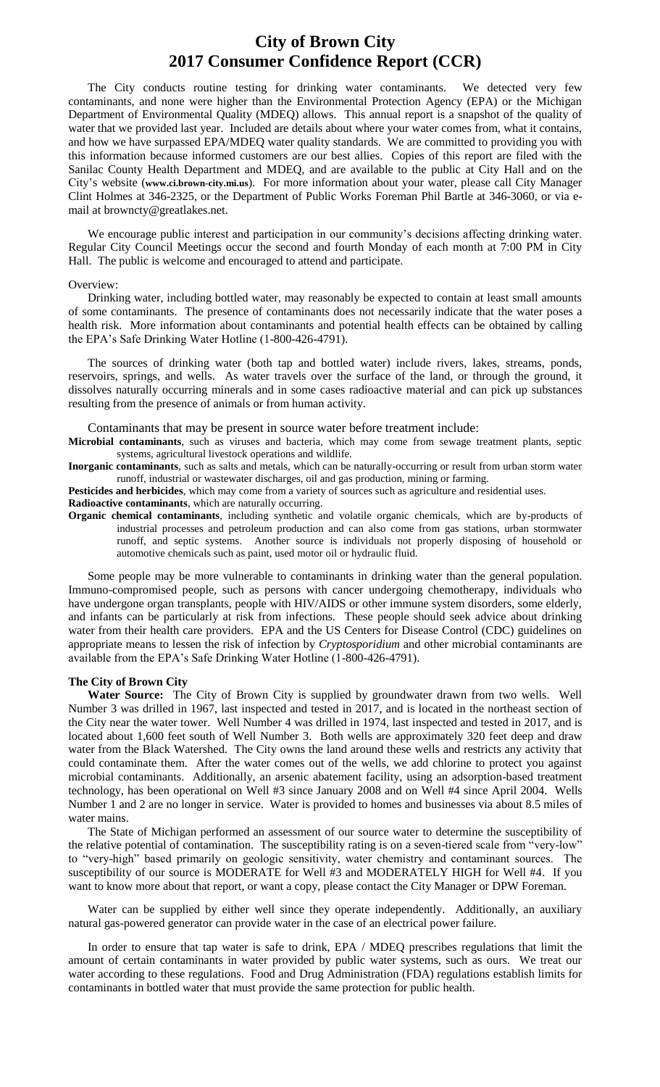## **City of Brown City 2017 Consumer Confidence Report (CCR)**

The City conducts routine testing for drinking water contaminants. We detected very few contaminants, and none were higher than the Environmental Protection Agency (EPA) or the Michigan Department of Environmental Quality (MDEQ) allows. This annual report is a snapshot of the quality of water that we provided last year. Included are details about where your water comes from, what it contains, and how we have surpassed EPA/MDEQ water quality standards. We are committed to providing you with this information because informed customers are our best allies. Copies of this report are filed with the Sanilac County Health Department and MDEQ, and are available to the public at City Hall and on the City's website (**www.ci.brown-city.mi.us**). For more information about your water, please call City Manager Clint Holmes at 346-2325, or the Department of Public Works Foreman Phil Bartle at 346-3060, or via email at browncty@greatlakes.net.

We encourage public interest and participation in our community's decisions affecting drinking water. Regular City Council Meetings occur the second and fourth Monday of each month at 7:00 PM in City Hall. The public is welcome and encouraged to attend and participate.

#### Overview:

Drinking water, including bottled water, may reasonably be expected to contain at least small amounts of some contaminants. The presence of contaminants does not necessarily indicate that the water poses a health risk. More information about contaminants and potential health effects can be obtained by calling the EPA's Safe Drinking Water Hotline (1-800-426-4791).

The sources of drinking water (both tap and bottled water) include rivers, lakes, streams, ponds, reservoirs, springs, and wells. As water travels over the surface of the land, or through the ground, it dissolves naturally occurring minerals and in some cases radioactive material and can pick up substances resulting from the presence of animals or from human activity.

Contaminants that may be present in source water before treatment include:

**Microbial contaminants**, such as viruses and bacteria, which may come from sewage treatment plants, septic systems, agricultural livestock operations and wildlife.

**Inorganic contaminants**, such as salts and metals, which can be naturally-occurring or result from urban storm water runoff, industrial or wastewater discharges, oil and gas production, mining or farming.

**Pesticides and herbicides**, which may come from a variety of sources such as agriculture and residential uses.

**Radioactive contaminants**, which are naturally occurring.

**Organic chemical contaminants**, including synthetic and volatile organic chemicals, which are by-products of industrial processes and petroleum production and can also come from gas stations, urban stormwater runoff, and septic systems. Another source is individuals not properly disposing of household or automotive chemicals such as paint, used motor oil or hydraulic fluid.

Some people may be more vulnerable to contaminants in drinking water than the general population. Immuno-compromised people, such as persons with cancer undergoing chemotherapy, individuals who have undergone organ transplants, people with HIV/AIDS or other immune system disorders, some elderly, and infants can be particularly at risk from infections. These people should seek advice about drinking water from their health care providers. EPA and the US Centers for Disease Control (CDC) guidelines on appropriate means to lessen the risk of infection by *Cryptosporidium* and other microbial contaminants are available from the EPA's Safe Drinking Water Hotline (1-800-426-4791).

### **The City of Brown City**

**Water Source:** The City of Brown City is supplied by groundwater drawn from two wells. Well Number 3 was drilled in 1967, last inspected and tested in 2017, and is located in the northeast section of the City near the water tower. Well Number 4 was drilled in 1974, last inspected and tested in 2017, and is located about 1,600 feet south of Well Number 3. Both wells are approximately 320 feet deep and draw water from the Black Watershed. The City owns the land around these wells and restricts any activity that could contaminate them. After the water comes out of the wells, we add chlorine to protect you against microbial contaminants. Additionally, an arsenic abatement facility, using an adsorption-based treatment technology, has been operational on Well #3 since January 2008 and on Well #4 since April 2004. Wells Number 1 and 2 are no longer in service. Water is provided to homes and businesses via about 8.5 miles of water mains.

The State of Michigan performed an assessment of our source water to determine the susceptibility of the relative potential of contamination. The susceptibility rating is on a seven-tiered scale from "very-low" to "very-high" based primarily on geologic sensitivity, water chemistry and contaminant sources. The susceptibility of our source is MODERATE for Well #3 and MODERATELY HIGH for Well #4. If you want to know more about that report, or want a copy, please contact the City Manager or DPW Foreman.

Water can be supplied by either well since they operate independently. Additionally, an auxiliary natural gas-powered generator can provide water in the case of an electrical power failure.

In order to ensure that tap water is safe to drink, EPA / MDEQ prescribes regulations that limit the amount of certain contaminants in water provided by public water systems, such as ours. We treat our water according to these regulations. Food and Drug Administration (FDA) regulations establish limits for contaminants in bottled water that must provide the same protection for public health.